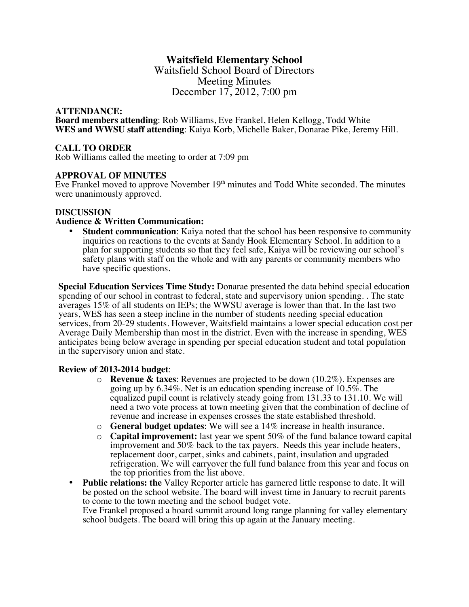# **Waitsfield Elementary School**

Waitsfield School Board of Directors Meeting Minutes December 17, 2012, 7:00 pm

#### **ATTENDANCE:**

**Board members attending**: Rob Williams, Eve Frankel, Helen Kellogg, Todd White **WES and WWSU staff attending**: Kaiya Korb, Michelle Baker, Donarae Pike, Jeremy Hill.

### **CALL TO ORDER**

Rob Williams called the meeting to order at 7:09 pm

#### **APPROVAL OF MINUTES**

Eve Frankel moved to approve November  $19<sup>th</sup>$  minutes and Todd White seconded. The minutes were unanimously approved.

#### **DISCUSSION**

#### **Audience & Written Communication:**

**Student communication**: Kaiya noted that the school has been responsive to community inquiries on reactions to the events at Sandy Hook Elementary School. In addition to a plan for supporting students so that they feel safe, Kaiya will be reviewing our school's safety plans with staff on the whole and with any parents or community members who have specific questions.

**Special Education Services Time Study:** Donarae presented the data behind special education spending of our school in contrast to federal, state and supervisory union spending. . The state averages 15% of all students on IEPs; the WWSU average is lower than that. In the last two years, WES has seen a steep incline in the number of students needing special education services, from 20-29 students. However, Waitsfield maintains a lower special education cost per Average Daily Membership than most in the district. Even with the increase in spending, WES anticipates being below average in spending per special education student and total population in the supervisory union and state.

#### **Review of 2013-2014 budget**:

- o **Revenue & taxes**: Revenues are projected to be down (10.2%). Expenses are going up by 6.34%. Net is an education spending increase of 10.5%. The equalized pupil count is relatively steady going from 131.33 to 131.10. We will need a two vote process at town meeting given that the combination of decline of revenue and increase in expenses crosses the state established threshold.
- o **General budget updates**: We will see a 14% increase in health insurance.
- o **Capital improvement:** last year we spent 50% of the fund balance toward capital improvement and 50% back to the tax payers. Needs this year include heaters, replacement door, carpet, sinks and cabinets, paint, insulation and upgraded refrigeration. We will carryover the full fund balance from this year and focus on the top priorities from the list above.
- **Public relations: the** Valley Reporter article has garnered little response to date. It will be posted on the school website. The board will invest time in January to recruit parents to come to the town meeting and the school budget vote.

Eve Frankel proposed a board summit around long range planning for valley elementary school budgets. The board will bring this up again at the January meeting.